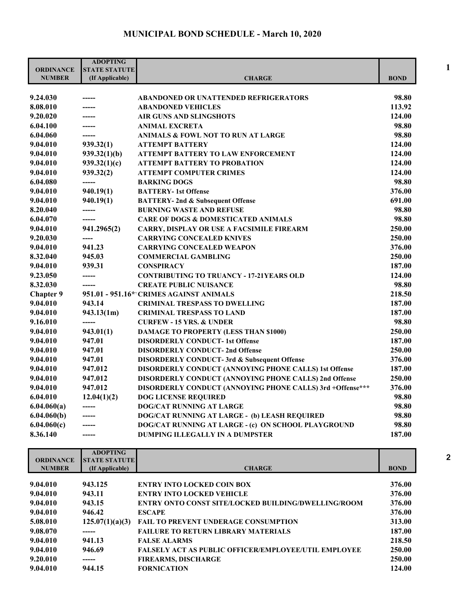## **MUNICIPAL BOND SCHEDULE - March 10, 2020**

| <b>ORDINANCE</b> | <b>ADOPTING</b><br><b>STATE STATUTE</b> |                                                           |             |
|------------------|-----------------------------------------|-----------------------------------------------------------|-------------|
| <b>NUMBER</b>    | (If Applicable)                         | <b>CHARGE</b>                                             | <b>BOND</b> |
| 9.24.030         |                                         | <b>ABANDONED OR UNATTENDED REFRIGERATORS</b>              | 98.80       |
| 8.08.010         | -----                                   | <b>ABANDONED VEHICLES</b>                                 | 113.92      |
| 9.20.020         | ------                                  | <b>AIR GUNS AND SLINGSHOTS</b>                            | 124.00      |
| 6.04.100         | ------                                  | <b>ANIMAL EXCRETA</b>                                     | 98.80       |
| 6.04.060         | ------                                  | <b>ANIMALS &amp; FOWL NOT TO RUN AT LARGE</b>             | 98.80       |
| 9.04.010         | 939.32(1)                               | <b>ATTEMPT BATTERY</b>                                    | 124.00      |
| 9.04.010         | 939.32(1)(b)                            | <b>ATTEMPT BATTERY TO LAW ENFORCEMENT</b>                 | 124.00      |
| 9.04.010         | 939.32(1)(c)                            | <b>ATTEMPT BATTERY TO PROBATION</b>                       | 124.00      |
| 9.04.010         | 939.32(2)                               | <b>ATTEMPT COMPUTER CRIMES</b>                            | 124.00      |
| 6.04.080         | -----                                   | <b>BARKING DOGS</b>                                       | 98.80       |
| 9.04.010         | 940.19(1)                               | <b>BATTERY-1st Offense</b>                                | 376.00      |
| 9.04.010         | 940.19(1)                               | <b>BATTERY-2nd &amp; Subsequent Offense</b>               | 691.00      |
| 8.20.040         | -----                                   | <b>BURNING WASTE AND REFUSE</b>                           | 98.80       |
| 6.04.070         | ------                                  | <b>CARE OF DOGS &amp; DOMESTICATED ANIMALS</b>            | 98.80       |
| 9.04.010         | 941.2965(2)                             | <b>CARRY, DISPLAY OR USE A FACSIMILE FIREARM</b>          | 250.00      |
| 9.20.030         |                                         | <b>CARRYING CONCEALED KNIVES</b>                          | 250.00      |
| 9.04.010         | 941.23                                  | <b>CARRYING CONCEALED WEAPON</b>                          | 376.00      |
| 8.32.040         | 945.03                                  | <b>COMMERCIAL GAMBLING</b>                                | 250.00      |
| 9.04.010         | 939.31                                  | <b>CONSPIRACY</b>                                         | 187.00      |
| 9.23.050         | -----                                   | <b>CONTRIBUTING TO TRUANCY - 17-21YEARS OLD</b>           | 124.00      |
| 8.32.030         | ------                                  | <b>CREATE PUBLIC NUISANCE</b>                             | 98.80       |
| <b>Chapter 9</b> |                                         | 951.01 - 951.16* CRIMES AGAINST ANIMALS                   | 218.50      |
| 9.04.010         | 943.14                                  | <b>CRIMINAL TRESPASS TO DWELLING</b>                      | 187.00      |
| 9.04.010         | 943.13(1m)                              | <b>CRIMINAL TRESPASS TO LAND</b>                          | 187.00      |
| 9.16.010         | ------                                  | <b>CURFEW - 15 YRS. &amp; UNDER</b>                       | 98.80       |
| 9.04.010         | 943.01(1)                               | <b>DAMAGE TO PROPERTY (LESS THAN \$1000)</b>              | 250.00      |
| 9.04.010         | 947.01                                  | <b>DISORDERLY CONDUCT-1st Offense</b>                     | 187.00      |
| 9.04.010         | 947.01                                  | <b>DISORDERLY CONDUCT-2nd Offense</b>                     | 250.00      |
| 9.04.010         | 947.01                                  | <b>DISORDERLY CONDUCT-3rd &amp; Subsequent Offense</b>    | 376.00      |
| 9.04.010         | 947.012                                 | DISORDERLY CONDUCT (ANNOYING PHONE CALLS) 1st Offense     | 187.00      |
| 9.04.010         | 947.012                                 | DISORDERLY CONDUCT (ANNOYING PHONE CALLS) 2nd Offense     | 250.00      |
| 9.04.010         | 947.012                                 | DISORDERLY CONDUCT (ANNOYING PHONE CALLS) 3rd +Offense*** | 376.00      |
| 6.04.010         | 12.04(1)(2)                             | <b>DOG LICENSE REQUIRED</b>                               | 98.80       |
| 6.04.060(a)      |                                         | DOG/CAT RUNNING AT LARGE                                  | 98.80       |
| 6.04.060(b)      | -----                                   | DOG/CAT RUNNING AT LARGE - (b) LEASH REQUIRED             | 98.80       |
| 6.04.060(c)      |                                         | DOG/CAT RUNNING AT LARGE - (c) ON SCHOOL PLAYGROUND       | 98.80       |
| 8.36.140         | -----                                   | <b>DUMPING ILLEGALLY IN A DUMPSTER</b>                    | 187.00      |

| <b>ORDINANCE</b> | <b>ADOPTING</b><br><b>STATE STATUTE</b> |                                                             |             |
|------------------|-----------------------------------------|-------------------------------------------------------------|-------------|
| <b>NUMBER</b>    | (If Applicable)                         | <b>CHARGE</b>                                               | <b>BOND</b> |
|                  |                                         |                                                             |             |
| 9.04.010         | 943.125                                 | <b>ENTRY INTO LOCKED COIN BOX</b>                           | 376.00      |
| 9.04.010         | 943.11                                  | <b>ENTRY INTO LOCKED VEHICLE</b>                            | 376.00      |
| 9.04.010         | 943.15                                  | ENTRY ONTO CONST SITE/LOCKED BUILDING/DWELLING/ROOM         | 376.00      |
| 9.04.010         | 946.42                                  | <b>ESCAPE</b>                                               | 376.00      |
| 5.08.010         | 125.07(1)(a)(3)                         | <b>FAIL TO PREVENT UNDERAGE CONSUMPTION</b>                 | 313.00      |
| 9.08.070         | -----                                   | <b>FAILURE TO RETURN LIBRARY MATERIALS</b>                  | 187.00      |
| 9.04.010         | 941.13                                  | <b>FALSE ALARMS</b>                                         | 218.50      |
| 9.04.010         | 946.69                                  | <b>FALSELY ACT AS PUBLIC OFFICER/EMPLOYEE/UTIL EMPLOYEE</b> | 250.00      |
| 9.20.010         | -----                                   | <b>FIREARMS, DISCHARGE</b>                                  | 250.00      |
| 9.04.010         | 944.15                                  | <b>FORNICATION</b>                                          | 124.00      |
|                  |                                         |                                                             |             |

**1**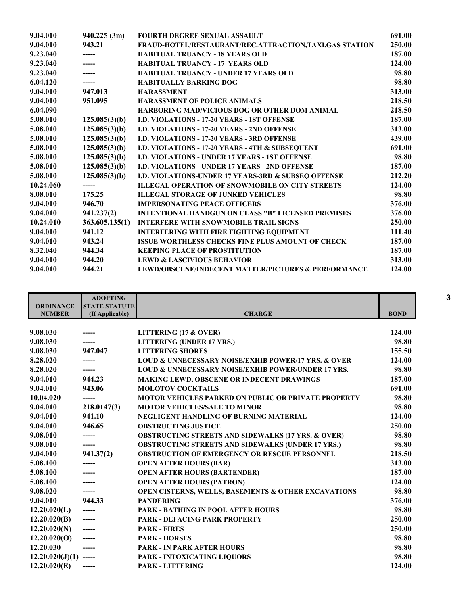| 9.04.010  | 940.225(3m)    | <b>FOURTH DEGREE SEXUAL ASSAULT</b>                       | 691.00 |
|-----------|----------------|-----------------------------------------------------------|--------|
| 9.04.010  | 943.21         | FRAUD-HOTEL/RESTAURANT/REC.ATTRACTION, TAXI, GAS STATION  | 250.00 |
| 9.23.040  |                | <b>HABITUAL TRUANCY - 18 YEARS OLD</b>                    | 187.00 |
| 9.23.040  |                | <b>HABITUAL TRUANCY - 17 YEARS OLD</b>                    | 124.00 |
| 9.23.040  |                | <b>HABITUAL TRUANCY - UNDER 17 YEARS OLD</b>              | 98.80  |
| 6.04.120  | ------         | <b>HABITUALLY BARKING DOG</b>                             | 98.80  |
| 9.04.010  | 947.013        | <b>HARASSMENT</b>                                         | 313.00 |
| 9.04.010  | 951.095        | <b>HARASSMENT OF POLICE ANIMALS</b>                       | 218.50 |
| 6.04.090  |                | <b>HARBORING MAD/VICIOUS DOG OR OTHER DOM ANIMAL</b>      | 218.50 |
| 5.08.010  | 125.085(3)(b)  | <b>I.D. VIOLATIONS - 17-20 YEARS - 1ST OFFENSE</b>        | 187.00 |
| 5.08.010  | 125.085(3)(b)  | <b>I.D. VIOLATIONS - 17-20 YEARS - 2ND OFFENSE</b>        | 313.00 |
| 5.08.010  | 125.085(3)(b)  | <b>I.D. VIOLATIONS - 17-20 YEARS - 3RD OFFENSE</b>        | 439.00 |
| 5.08.010  | 125.085(3)(b)  | I.D. VIOLATIONS - 17-20 YEARS - 4TH & SUBSEQUENT          | 691.00 |
| 5.08.010  | 125.085(3)(b)  | <b>I.D. VIOLATIONS - UNDER 17 YEARS - 1ST OFFENSE</b>     | 98.80  |
| 5.08.010  | 125.085(3)(b)  | <b>I.D. VIOLATIONS - UNDER 17 YEARS - 2ND OFFENSE</b>     | 187.00 |
| 5.08.010  | 125.085(3)(b)  | I.D. VIOLATIONS-UNDER 17 YEARS-3RD & SUBSEQ OFFENSE       | 212.20 |
| 10.24.060 | -----          | <b>ILLEGAL OPERATION OF SNOWMOBILE ON CITY STREETS</b>    | 124.00 |
| 8.08.010  | 175.25         | <b>ILLEGAL STORAGE OF JUNKED VEHICLES</b>                 | 98.80  |
| 9.04.010  | 946.70         | <b>IMPERSONATING PEACE OFFICERS</b>                       | 376.00 |
| 9.04.010  | 941.237(2)     | <b>INTENTIONAL HANDGUN ON CLASS "B" LICENSED PREMISES</b> | 376.00 |
| 10.24.010 | 363.605.135(1) | <b>INTERFERE WITH SNOWMOBILE TRAIL SIGNS</b>              | 250.00 |
| 9.04.010  | 941.12         | <b>INTERFERING WITH FIRE FIGHTING EQUIPMENT</b>           | 111.40 |
| 9.04.010  | 943.24         | <b>ISSUE WORTHLESS CHECKS-FINE PLUS AMOUNT OF CHECK</b>   | 187.00 |
| 8.32.040  | 944.34         | <b>KEEPING PLACE OF PROSTITUTION</b>                      | 187.00 |
| 9.04.010  | 944.20         | <b>LEWD &amp; LASCIVIOUS BEHAVIOR</b>                     | 313.00 |
| 9.04.010  | 944.21         | LEWD/OBSCENE/INDECENT MATTER/PICTURES & PERFORMANCE       | 124.00 |

|                         | <b>ADOPTING</b>      |                                                                    |             |
|-------------------------|----------------------|--------------------------------------------------------------------|-------------|
| <b>ORDINANCE</b>        | <b>STATE STATUTE</b> |                                                                    |             |
| <b>NUMBER</b>           | (If Applicable)      | <b>CHARGE</b>                                                      | <b>BOND</b> |
|                         |                      |                                                                    |             |
| 9.08.030                |                      | LITTERING $(17 \& OVER)$                                           | 124.00      |
| 9.08.030                | -----                | <b>LITTERING (UNDER 17 YRS.)</b>                                   | 98.80       |
| 9.08.030                | 947.047              | <b>LITTERING SHORES</b>                                            | 155.50      |
| 8.28.020                |                      | <b>LOUD &amp; UNNECESSARY NOISE/EXHIB POWER/17 YRS. &amp; OVER</b> | 124.00      |
| 8.28.020                |                      | <b>LOUD &amp; UNNECESSARY NOISE/EXHIB POWER/UNDER 17 YRS.</b>      | 98.80       |
| 9.04.010                | 944.23               | <b>MAKING LEWD, OBSCENE OR INDECENT DRAWINGS</b>                   | 187.00      |
| 9.04.010                | 943.06               | <b>MOLOTOV COCKTAILS</b>                                           | 691.00      |
| 10.04.020               | -----                | <b>MOTOR VEHICLES PARKED ON PUBLIC OR PRIVATE PROPERTY</b>         | 98.80       |
| 9.04.010                | 218.0147(3)          | <b>MOTOR VEHICLES/SALE TO MINOR</b>                                | 98.80       |
| 9.04.010                | 941.10               | <b>NEGLIGENT HANDLING OF BURNING MATERIAL</b>                      | 124.00      |
| 9.04.010                | 946.65               | <b>OBSTRUCTING JUSTICE</b>                                         | 250.00      |
| 9.08.010                |                      | <b>OBSTRUCTING STREETS AND SIDEWALKS (17 YRS. &amp; OVER)</b>      | 98.80       |
| 9.08.010                | -----                | <b>OBSTRUCTING STREETS AND SIDEWALKS (UNDER 17 YRS.)</b>           | 98.80       |
| 9.04.010                | 941.37(2)            | <b>OBSTRUCTION OF EMERGENCY OR RESCUE PERSONNEL</b>                | 218.50      |
| 5.08.100                |                      | <b>OPEN AFTER HOURS (BAR)</b>                                      | 313.00      |
| 5.08.100                | -----                | <b>OPEN AFTER HOURS (BARTENDER)</b>                                | 187.00      |
| 5.08.100                | -----                | <b>OPEN AFTER HOURS (PATRON)</b>                                   | 124.00      |
| 9.08.020                | ------               | OPEN CISTERNS, WELLS, BASEMENTS & OTHER EXCAVATIONS                | 98.80       |
| 9.04.010                | 944.33               | <b>PANDERING</b>                                                   | 376.00      |
| 12.20.020(L)            | -----                | <b>PARK - BATHING IN POOL AFTER HOURS</b>                          | 98.80       |
| 12.20.020(B)            | ------               | <b>PARK - DEFACING PARK PROPERTY</b>                               | 250.00      |
| 12.20.020(N)            | ------               | <b>PARK - FIRES</b>                                                | 250.00      |
| 12.20.020(O)            | ------               | <b>PARK - HORSES</b>                                               | 98.80       |
| 12.20.030               |                      | <b>PARK - IN PARK AFTER HOURS</b>                                  | 98.80       |
| $12.20.020(J)(1)$ ----- |                      | <b>PARK - INTOXICATING LIQUORS</b>                                 | 98.80       |
| 12.20.020(E)            | ------               | <b>PARK - LITTERING</b>                                            | 124.00      |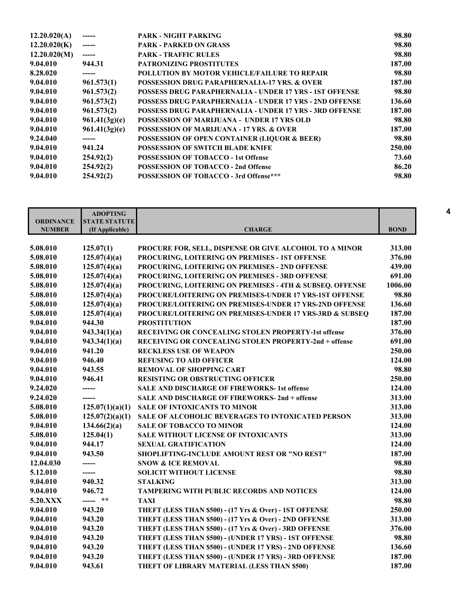| 12.20.020(A) |               | PARK - NIGHT PARKING                                           | 98.80  |
|--------------|---------------|----------------------------------------------------------------|--------|
| 12.20.020(K) |               | <b>PARK - PARKED ON GRASS</b>                                  | 98.80  |
| 12.20.020(M) | -----         | <b>PARK - TRAFFIC RULES</b>                                    | 98.80  |
| 9.04.010     | 944.31        | <b>PATRONIZING PROSTITUTES</b>                                 | 187.00 |
| 8.28.020     | ------        | POLLUTION BY MOTOR VEHICLE/FAILURE TO REPAIR                   | 98.80  |
| 9.04.010     | 961.573(1)    | <b>POSSESSION DRUG PARAPHERNALIA-17 YRS. &amp; OVER</b>        | 187.00 |
| 9.04.010     | 961.573(2)    | <b>POSSESS DRUG PARAPHERNALIA - UNDER 17 YRS - 1ST OFFENSE</b> | 98.80  |
| 9.04.010     | 961.573(2)    | POSSESS DRUG PARAPHERNALIA - UNDER 17 YRS - 2ND OFFENSE        | 136.60 |
| 9.04.010     | 961.573(2)    | <b>POSSESS DRUG PARAPHERNALIA - UNDER 17 YRS - 3RD OFFENSE</b> | 187.00 |
| 9.04.010     | 961.41(3g)(e) | <b>POSSESSION OF MARIJUANA - UNDER 17 YRS OLD</b>              | 98.80  |
| 9.04.010     | 961.41(3g)(e) | <b>POSSESSION OF MARIJUANA - 17 YRS. &amp; OVER</b>            | 187.00 |
| 9.24.040     |               | <b>POSSESSION OF OPEN CONTAINER (LIQUOR &amp; BEER)</b>        | 98.80  |
| 9.04.010     | 941.24        | <b>POSSESSION OF SWITCH BLADE KNIFE</b>                        | 250.00 |
| 9.04.010     | 254.92(2)     | <b>POSSESSION OF TOBACCO - 1st Offense</b>                     | 73.60  |
| 9.04.010     | 254.92(2)     | <b>POSSESSION OF TOBACCO - 2nd Offense</b>                     | 86.20  |
| 9.04.010     | 254.92(2)     | POSSESSION OF TOBACCO - 3rd Offense***                         | 98.80  |
|              |               |                                                                |        |

| <b>ORDINANCE</b> | <b>ADOPTING</b><br><b>STATE STATUTE</b> |                                                          |             |
|------------------|-----------------------------------------|----------------------------------------------------------|-------------|
| <b>NUMBER</b>    | (If Applicable)                         | <b>CHARGE</b>                                            | <b>BOND</b> |
|                  |                                         |                                                          |             |
| 5.08.010         | 125.07(1)                               | PROCURE FOR, SELL, DISPENSE OR GIVE ALCOHOL TO A MINOR   | 313.00      |
| 5.08.010         | 125.07(4)(a)                            | PROCURING, LOITERING ON PREMISES - 1ST OFFENSE           | 376.00      |
| 5.08.010         | 125.07(4)(a)                            | PROCURING, LOITERING ON PREMISES - 2ND OFFENSE           | 439.00      |
| 5.08.010         | 125.07(4)(a)                            | PROCURING, LOITERING ON PREMISES - 3RD OFFENSE           | 691.00      |
| 5.08.010         | 125.07(4)(a)                            | PROCURING, LOITERING ON PREMISES - 4TH & SUBSEQ. OFFENSE | 1006.00     |
| 5.08.010         | 125.07(4)(a)                            | PROCURE/LOITERING ON PREMISES-UNDER 17 YRS-1ST OFFENSE   | 98.80       |
| 5.08.010         | 125.07(4)(a)                            | PROCURE/LOITERING ON PREMISES-UNDER 17 YRS-2ND OFFENSE   | 136.60      |
| 5.08.010         | 125.07(4)(a)                            | PROCURE/LOITERING ON PREMISES-UNDER 17 YRS-3RD & SUBSEQ  | 187.00      |
| 9.04.010         | 944.30                                  | <b>PROSTITUTION</b>                                      | 187.00      |
| 9.04.010         | 943.34(1)(a)                            | RECEIVING OR CONCEALING STOLEN PROPERTY-1st offense      | 376.00      |
| 9.04.010         | 943.34(1)(a)                            | RECEIVING OR CONCEALING STOLEN PROPERTY-2nd + offense    | 691.00      |
| 9.04.010         | 941.20                                  | <b>RECKLESS USE OF WEAPON</b>                            | 250.00      |
| 9.04.010         | 946.40                                  | <b>REFUSING TO AID OFFICER</b>                           | 124.00      |
| 9.04.010         | 943.55                                  | <b>REMOVAL OF SHOPPING CART</b>                          | 98.80       |
| 9.04.010         | 946.41                                  | <b>RESISTING OR OBSTRUCTING OFFICER</b>                  | 250.00      |
| 9.24.020         | -----                                   | <b>SALE AND DISCHARGE OF FIREWORKS-1st offense</b>       | 124.00      |
| 9.24.020         | -----                                   | <b>SALE AND DISCHARGE OF FIREWORKS-2nd + offense</b>     | 313.00      |
| 5.08.010         | 125.07(1)(a)(1)                         | <b>SALE OF INTOXICANTS TO MINOR</b>                      | 313.00      |
| 5.08.010         | 125.07(2)(a)(1)                         | SALE OF ALCOHOLIC BEVERAGES TO INTOXICATED PERSON        | 313.00      |
| 9.04.010         | 134.66(2)(a)                            | <b>SALE OF TOBACCO TO MINOR</b>                          | 124.00      |
| 5.08.010         | 125.04(1)                               | <b>SALE WITHOUT LICENSE OF INTOXICANTS</b>               | 313.00      |
| 9.04.010         | 944.17                                  | <b>SEXUAL GRATIFICATION</b>                              | 124.00      |
| 9.04.010         | 943.50                                  | SHOPLIFTING-INCLUDE AMOUNT REST OR "NO REST"             | 187.00      |
| 12.04.030        | -----                                   | <b>SNOW &amp; ICE REMOVAL</b>                            | 98.80       |
| 5.12.010         | -----                                   | <b>SOLICIT WITHOUT LICENSE</b>                           | 98.80       |
| 9.04.010         | 940.32                                  | <b>STALKING</b>                                          | 313.00      |
| 9.04.010         | 946.72                                  | TAMPERING WITH PUBLIC RECORDS AND NOTICES                | 124.00      |
| 5.20.XXX         | ----- **                                | <b>TAXI</b>                                              | 98.80       |
| 9.04.010         | 943.20                                  | THEFT (LESS THAN \$500) - (17 Yrs & Over) - 1ST OFFENSE  | 250.00      |
| 9.04.010         | 943.20                                  | THEFT (LESS THAN \$500) - (17 Yrs & Over) - 2ND OFFENSE  | 313.00      |
| 9.04.010         | 943.20                                  | THEFT (LESS THAN \$500) - (17 Yrs & Over) - 3RD OFFENSE  | 376.00      |
| 9.04.010         | 943.20                                  | THEFT (LESS THAN \$500) - (UNDER 17 YRS) - 1ST OFFENSE   | 98.80       |
| 9.04.010         | 943.20                                  | THEFT (LESS THAN \$500) - (UNDER 17 YRS) - 2ND OFFENSE   | 136.60      |
| 9.04.010         | 943.20                                  | THEFT (LESS THAN \$500) - (UNDER 17 YRS) - 3RD OFFENSE   | 187.00      |
| 9.04.010         | 943.61                                  | THEFT OF LIBRARY MATERIAL (LESS THAN \$500)              | 187.00      |